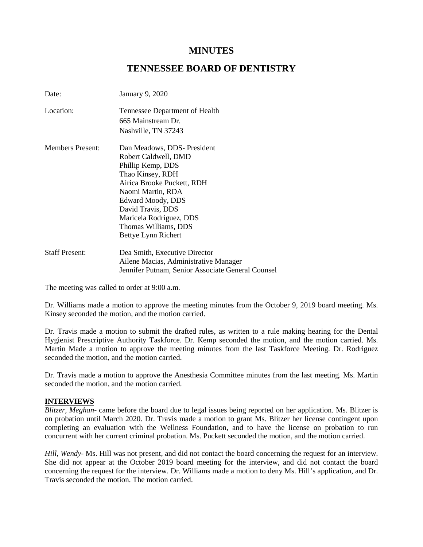# **MINUTES**

## **TENNESSEE BOARD OF DENTISTRY**

| Date:                   | <b>January 9, 2020</b>                            |
|-------------------------|---------------------------------------------------|
| Location:               | Tennessee Department of Health                    |
|                         | 665 Mainstream Dr.                                |
|                         | Nashville, TN 37243                               |
| <b>Members Present:</b> | Dan Meadows, DDS- President                       |
|                         | Robert Caldwell, DMD                              |
|                         | Phillip Kemp, DDS                                 |
|                         | Thao Kinsey, RDH                                  |
|                         | Airica Brooke Puckett, RDH                        |
|                         | Naomi Martin, RDA                                 |
|                         | Edward Moody, DDS                                 |
|                         | David Travis, DDS                                 |
|                         | Maricela Rodriguez, DDS                           |
|                         | Thomas Williams, DDS                              |
|                         | Bettye Lynn Richert                               |
| <b>Staff Present:</b>   | Dea Smith, Executive Director                     |
|                         | Ailene Macias, Administrative Manager             |
|                         | Jennifer Putnam, Senior Associate General Counsel |

The meeting was called to order at 9:00 a.m.

Dr. Williams made a motion to approve the meeting minutes from the October 9, 2019 board meeting. Ms. Kinsey seconded the motion, and the motion carried.

Dr. Travis made a motion to submit the drafted rules, as written to a rule making hearing for the Dental Hygienist Prescriptive Authority Taskforce. Dr. Kemp seconded the motion, and the motion carried. Ms. Martin Made a motion to approve the meeting minutes from the last Taskforce Meeting. Dr. Rodriguez seconded the motion, and the motion carried.

Dr. Travis made a motion to approve the Anesthesia Committee minutes from the last meeting. Ms. Martin seconded the motion, and the motion carried.

### **INTERVIEWS**

*Blitzer, Meghan*- came before the board due to legal issues being reported on her application. Ms. Blitzer is on probation until March 2020. Dr. Travis made a motion to grant Ms. Blitzer her license contingent upon completing an evaluation with the Wellness Foundation, and to have the license on probation to run concurrent with her current criminal probation. Ms. Puckett seconded the motion, and the motion carried.

*Hill, Wendy*- Ms. Hill was not present, and did not contact the board concerning the request for an interview. She did not appear at the October 2019 board meeting for the interview, and did not contact the board concerning the request for the interview. Dr. Williams made a motion to deny Ms. Hill's application, and Dr. Travis seconded the motion. The motion carried.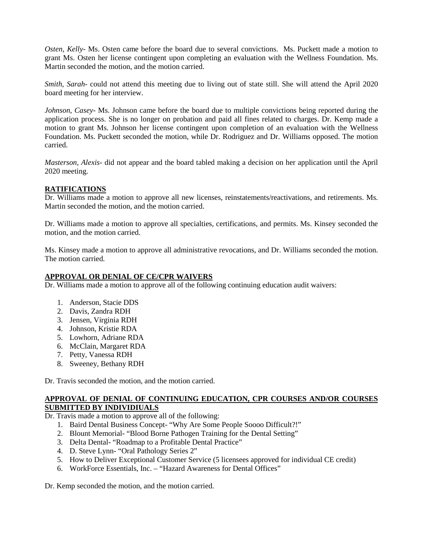*Osten, Kelly*- Ms. Osten came before the board due to several convictions. Ms. Puckett made a motion to grant Ms. Osten her license contingent upon completing an evaluation with the Wellness Foundation. Ms. Martin seconded the motion, and the motion carried.

*Smith, Sarah-* could not attend this meeting due to living out of state still. She will attend the April 2020 board meeting for her interview.

*Johnson, Casey*- Ms. Johnson came before the board due to multiple convictions being reported during the application process. She is no longer on probation and paid all fines related to charges. Dr. Kemp made a motion to grant Ms. Johnson her license contingent upon completion of an evaluation with the Wellness Foundation. Ms. Puckett seconded the motion, while Dr. Rodriguez and Dr. Williams opposed. The motion carried.

*Masterson, Alexis*- did not appear and the board tabled making a decision on her application until the April 2020 meeting.

### **RATIFICATIONS**

Dr. Williams made a motion to approve all new licenses, reinstatements/reactivations, and retirements. Ms. Martin seconded the motion, and the motion carried.

Dr. Williams made a motion to approve all specialties, certifications, and permits. Ms. Kinsey seconded the motion, and the motion carried.

Ms. Kinsey made a motion to approve all administrative revocations, and Dr. Williams seconded the motion. The motion carried.

#### **APPROVAL OR DENIAL OF CE/CPR WAIVERS**

Dr. Williams made a motion to approve all of the following continuing education audit waivers:

- 1. Anderson, Stacie DDS
- 2. Davis, Zandra RDH
- 3. Jensen, Virginia RDH
- 4. Johnson, Kristie RDA
- 5. Lowhorn, Adriane RDA
- 6. McClain, Margaret RDA
- 7. Petty, Vanessa RDH
- 8. Sweeney, Bethany RDH

Dr. Travis seconded the motion, and the motion carried.

#### **APPROVAL OF DENIAL OF CONTINUING EDUCATION, CPR COURSES AND/OR COURSES SUBMITTED BY INDIVIDIUALS**

Dr. Travis made a motion to approve all of the following:

- 1. Baird Dental Business Concept- "Why Are Some People Soooo Difficult?!"
- 2. Blount Memorial- "Blood Borne Pathogen Training for the Dental Setting"
- 3. Delta Dental- "Roadmap to a Profitable Dental Practice"
- 4. D. Steve Lynn- "Oral Pathology Series 2"
- 5. How to Deliver Exceptional Customer Service (5 licensees approved for individual CE credit)
- 6. WorkForce Essentials, Inc. "Hazard Awareness for Dental Offices"

Dr. Kemp seconded the motion, and the motion carried.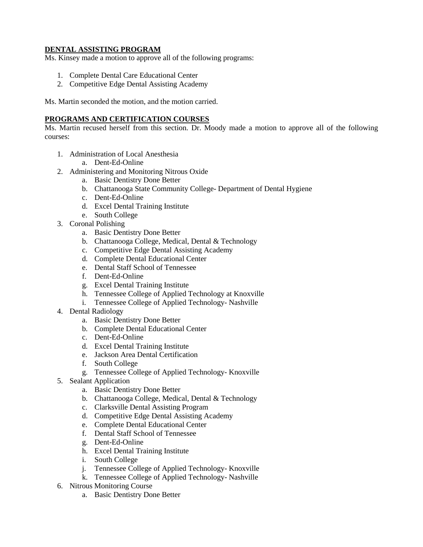### **DENTAL ASSISTING PROGRAM**

Ms. Kinsey made a motion to approve all of the following programs:

- 1. Complete Dental Care Educational Center
- 2. Competitive Edge Dental Assisting Academy

Ms. Martin seconded the motion, and the motion carried.

#### **PROGRAMS AND CERTIFICATION COURSES**

Ms. Martin recused herself from this section. Dr. Moody made a motion to approve all of the following courses:

- 1. Administration of Local Anesthesia
	- a. Dent-Ed-Online
- 2. Administering and Monitoring Nitrous Oxide
	- a. Basic Dentistry Done Better
	- b. Chattanooga State Community College- Department of Dental Hygiene
	- c. Dent-Ed-Online
	- d. Excel Dental Training Institute
	- e. South College
- 3. Coronal Polishing
	- a. Basic Dentistry Done Better
	- b. Chattanooga College, Medical, Dental & Technology
	- c. Competitive Edge Dental Assisting Academy
	- d. Complete Dental Educational Center
	- e. Dental Staff School of Tennessee
	- f. Dent-Ed-Online
	- g. Excel Dental Training Institute
	- h. Tennessee College of Applied Technology at Knoxville
	- i. Tennessee College of Applied Technology- Nashville
- 4. Dental Radiology
	- a. Basic Dentistry Done Better
	- b. Complete Dental Educational Center
	- c. Dent-Ed-Online
	- d. Excel Dental Training Institute
	- e. Jackson Area Dental Certification
	- f. South College
		- g. Tennessee College of Applied Technology- Knoxville
- 5. Sealant Application
	- a. Basic Dentistry Done Better
	- b. Chattanooga College, Medical, Dental & Technology
	- c. Clarksville Dental Assisting Program
	- d. Competitive Edge Dental Assisting Academy
	- e. Complete Dental Educational Center
	- f. Dental Staff School of Tennessee
	- g. Dent-Ed-Online
	- h. Excel Dental Training Institute
	- i. South College
	- j. Tennessee College of Applied Technology- Knoxville
	- k. Tennessee College of Applied Technology- Nashville
- 6. Nitrous Monitoring Course
	- a. Basic Dentistry Done Better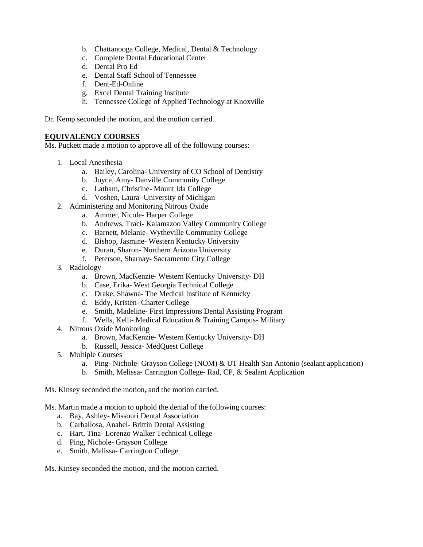- b. Chattanooga College, Medical, Dental & Technology
- c. Complete Dental Educational Center
- d. Dental Pro Ed
- e. Dental Staff School of Tennessee
- f. Dent-Ed-Online
- g. Excel Dental Training Institute
- h. Tennessee College of Applied Technology at Knoxville

Dr. Kemp seconded the motion, and the motion carried.

### **EQUIVALENCY COURSES**

Ms. Puckett made a motion to approve all of the following courses:

- 1. Local Anesthesia
	- a. Bailey, Carolina- University of CO School of Dentistry
	- b. Joyce, Amy- Danville Community College
	- c. Latham, Christine- Mount Ida College
	- d. Voshen, Laura- University of Michigan
- 2. Administering and Monitoring Nitrous Oxide
	- a. Ammer, Nicole- Harper College
	- b. Andrews, Traci- Kalamazoo Valley Community College
	- c. Barnett, Melanie- Wytheville Community College
	- d. Bishop, Jasmine- Western Kentucky University
	- e. Duran, Sharon- Northern Arizona University
	- f. Peterson, Sharnay- Sacramento City College
- 3. Radiology
	- a. Brown, MacKenzie- Western Kentucky University- DH
	- b. Case, Erika- West Georgia Technical College
	- c. Drake, Shawna- The Medical Institute of Kentucky
	- d. Eddy, Kristen- Charter College
	- e. Smith, Madeline- First Impressions Dental Assisting Program
	- f. Wells, Kelli- Medical Education & Training Campus- Military
- 4. Nitrous Oxide Monitoring
	- a. Brown, MacKenzie- Western Kentucky University- DH
	- b. Russell, Jessica- MedQuest College
- 5. Multiple Courses
	- a. Ping- Nichole- Grayson College (NOM) & UT Health San Antonio (sealant application)
	- b. Smith, Melissa- Carrington College- Rad, CP, & Sealant Application
- Ms. Kinsey seconded the motion, and the motion carried.
- Ms. Martin made a motion to uphold the denial of the following courses:
	- a. Bay, Ashley- Missouri Dental Association
	- b. Carballosa, Anabel- Brittin Dental Assisting
	- c. Hart, Tina- Lorenzo Walker Technical College
	- d. Ping, Nichole- Grayson College
	- e. Smith, Melissa- Carrington College

Ms. Kinsey seconded the motion, and the motion carried.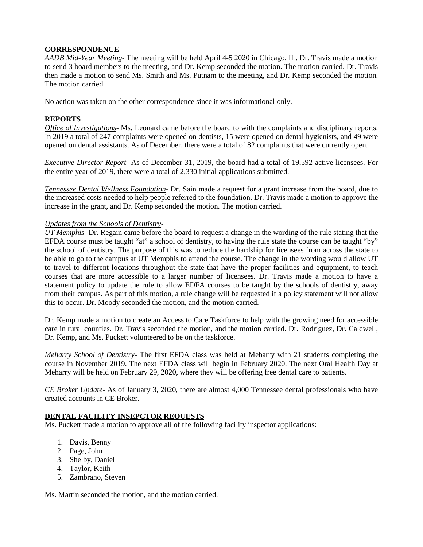### **CORRESPONDENCE**

*AADB Mid-Year Meeting*- The meeting will be held April 4-5 2020 in Chicago, IL. Dr. Travis made a motion to send 3 board members to the meeting, and Dr. Kemp seconded the motion. The motion carried. Dr. Travis then made a motion to send Ms. Smith and Ms. Putnam to the meeting, and Dr. Kemp seconded the motion. The motion carried.

No action was taken on the other correspondence since it was informational only.

### **REPORTS**

*Office of Investigations*- Ms. Leonard came before the board to with the complaints and disciplinary reports. In 2019 a total of 247 complaints were opened on dentists, 15 were opened on dental hygienists, and 49 were opened on dental assistants. As of December, there were a total of 82 complaints that were currently open.

*Executive Director Report*- As of December 31, 2019, the board had a total of 19,592 active licensees. For the entire year of 2019, there were a total of 2,330 initial applications submitted.

*Tennessee Dental Wellness Foundation*- Dr. Sain made a request for a grant increase from the board, due to the increased costs needed to help people referred to the foundation. Dr. Travis made a motion to approve the increase in the grant, and Dr. Kemp seconded the motion. The motion carried.

### *Updates from the Schools of Dentistry*-

*UT Memphis*- Dr. Regain came before the board to request a change in the wording of the rule stating that the EFDA course must be taught "at" a school of dentistry, to having the rule state the course can be taught "by" the school of dentistry. The purpose of this was to reduce the hardship for licensees from across the state to be able to go to the campus at UT Memphis to attend the course. The change in the wording would allow UT to travel to different locations throughout the state that have the proper facilities and equipment, to teach courses that are more accessible to a larger number of licensees. Dr. Travis made a motion to have a statement policy to update the rule to allow EDFA courses to be taught by the schools of dentistry, away from their campus. As part of this motion, a rule change will be requested if a policy statement will not allow this to occur. Dr. Moody seconded the motion, and the motion carried.

Dr. Kemp made a motion to create an Access to Care Taskforce to help with the growing need for accessible care in rural counties. Dr. Travis seconded the motion, and the motion carried. Dr. Rodriguez, Dr. Caldwell, Dr. Kemp, and Ms. Puckett volunteered to be on the taskforce.

*Meharry School of Dentistry*- The first EFDA class was held at Meharry with 21 students completing the course in November 2019. The next EFDA class will begin in February 2020. The next Oral Health Day at Meharry will be held on February 29, 2020, where they will be offering free dental care to patients.

*CE Broker Update*- As of January 3, 2020, there are almost 4,000 Tennessee dental professionals who have created accounts in CE Broker.

### **DENTAL FACILITY INSEPCTOR REQUESTS**

Ms. Puckett made a motion to approve all of the following facility inspector applications:

- 1. Davis, Benny
- 2. Page, John
- 3. Shelby, Daniel
- 4. Taylor, Keith
- 5. Zambrano, Steven

Ms. Martin seconded the motion, and the motion carried.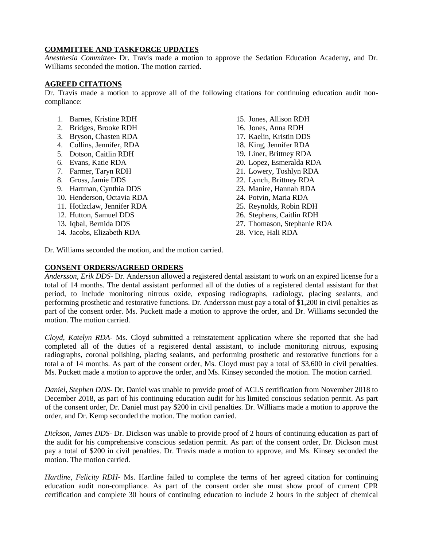### **COMMITTEE AND TASKFORCE UPDATES**

*Anesthesia Committee*- Dr. Travis made a motion to approve the Sedation Education Academy, and Dr. Williams seconded the motion. The motion carried.

### **AGREED CITATIONS**

Dr. Travis made a motion to approve all of the following citations for continuing education audit noncompliance:

- 1. Barnes, Kristine RDH
- 2. Bridges, Brooke RDH
- 3. Bryson, Chasten RDA
- 4. Collins, Jennifer, RDA
- 5. Dotson, Caitlin RDH
- 6. Evans, Katie RDA
- 7. Farmer, Taryn RDH
- 8. Gross, Jamie DDS
- 9. Hartman, Cynthia DDS
- 10. Henderson, Octavia RDA
- 11. Hotlzclaw, Jennifer RDA
- 12. Hutton, Samuel DDS
- 13. Iqbal, Bernida DDS
- 14. Jacobs, Elizabeth RDA
- 15. Jones, Allison RDH 16. Jones, Anna RDH 17. Kaelin, Kristin DDS 18. King, Jennifer RDA 19. Liner, Brittney RDA 20. Lopez, Esmeralda RDA 21. Lowery, Toshlyn RDA 22. Lynch, Brittney RDA 23. Manire, Hannah RDA 24. Potvin, Maria RDA 25. Reynolds, Robin RDH 26. Stephens, Caitlin RDH 27. Thomason, Stephanie RDA
- 28. Vice, Hali RDA

Dr. Williams seconded the motion, and the motion carried.

### **CONSENT ORDERS/AGREED ORDERS**

*Andersson, Erik DDS*- Dr. Andersson allowed a registered dental assistant to work on an expired license for a total of 14 months. The dental assistant performed all of the duties of a registered dental assistant for that period, to include monitoring nitrous oxide, exposing radiographs, radiology, placing sealants, and performing prosthetic and restorative functions. Dr. Andersson must pay a total of \$1,200 in civil penalties as part of the consent order. Ms. Puckett made a motion to approve the order, and Dr. Williams seconded the motion. The motion carried.

*Cloyd, Katelyn RDA*- Ms. Cloyd submitted a reinstatement application where she reported that she had completed all of the duties of a registered dental assistant, to include monitoring nitrous, exposing radiographs, coronal polishing, placing sealants, and performing prosthetic and restorative functions for a total a of 14 months. As part of the consent order, Ms. Cloyd must pay a total of \$3,600 in civil penalties. Ms. Puckett made a motion to approve the order, and Ms. Kinsey seconded the motion. The motion carried.

*Daniel, Stephen DDS*- Dr. Daniel was unable to provide proof of ACLS certification from November 2018 to December 2018, as part of his continuing education audit for his limited conscious sedation permit. As part of the consent order, Dr. Daniel must pay \$200 in civil penalties. Dr. Williams made a motion to approve the order, and Dr. Kemp seconded the motion. The motion carried.

*Dickson, James DDS*- Dr. Dickson was unable to provide proof of 2 hours of continuing education as part of the audit for his comprehensive conscious sedation permit. As part of the consent order, Dr. Dickson must pay a total of \$200 in civil penalties. Dr. Travis made a motion to approve, and Ms. Kinsey seconded the motion. The motion carried.

*Hartline, Felicity RDH*- Ms. Hartline failed to complete the terms of her agreed citation for continuing education audit non-compliance. As part of the consent order she must show proof of current CPR certification and complete 30 hours of continuing education to include 2 hours in the subject of chemical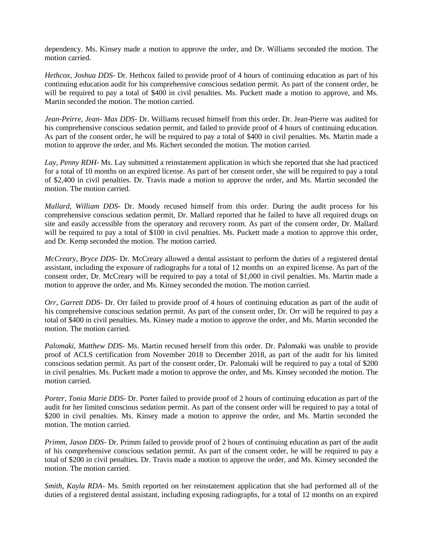dependency. Ms. Kinsey made a motion to approve the order, and Dr. Williams seconded the motion. The motion carried.

*Hethcox, Joshua DDS*- Dr. Hethcox failed to provide proof of 4 hours of continuing education as part of his continuing education audit for his comprehensive conscious sedation permit. As part of the consent order, he will be required to pay a total of \$400 in civil penalties. Ms. Puckett made a motion to approve, and Ms. Martin seconded the motion. The motion carried.

*Jean-Peirre, Jean- Max DDS*- Dr. Williams recused himself from this order. Dr. Jean-Pierre was audited for his comprehensive conscious sedation permit, and failed to provide proof of 4 hours of continuing education. As part of the consent order, he will be required to pay a total of \$400 in civil penalties. Ms. Martin made a motion to approve the order, and Ms. Richert seconded the motion. The motion carried.

*Lay, Penny RDH*- Ms. Lay submitted a reinstatement application in which she reported that she had practiced for a total of 10 months on an expired license. As part of her consent order, she will be required to pay a total of \$2,400 in civil penalties. Dr. Travis made a motion to approve the order, and Ms. Martin seconded the motion. The motion carried.

*Mallard, William DDS*- Dr. Moody recused himself from this order. During the audit process for his comprehensive conscious sedation permit, Dr. Mallard reported that he failed to have all required drugs on site and easily accessible from the operatory and recovery room. As part of the consent order, Dr. Mallard will be required to pay a total of \$100 in civil penalties. Ms. Puckett made a motion to approve this order, and Dr. Kemp seconded the motion. The motion carried.

*McCreary, Bryce DDS*- Dr. McCreary allowed a dental assistant to perform the duties of a registered dental assistant, including the exposure of radiographs for a total of 12 months on an expired license. As part of the consent order, Dr. McCreary will be required to pay a total of \$1,000 in civil penalties. Ms. Martin made a motion to approve the order, and Ms. Kinsey seconded the motion. The motion carried.

*Orr, Garrett DDS*- Dr. Orr failed to provide proof of 4 hours of continuing education as part of the audit of his comprehensive conscious sedation permit. As part of the consent order, Dr. Orr will be required to pay a total of \$400 in civil penalties. Ms. Kinsey made a motion to approve the order, and Ms. Martin seconded the motion. The motion carried.

*Palomaki, Matthew DDS*- Ms. Martin recused herself from this order. Dr. Palomaki was unable to provide proof of ACLS certification from November 2018 to December 2018, as part of the audit for his limited conscious sedation permit. As part of the consent order, Dr. Palomaki will be required to pay a total of \$200 in civil penalties. Ms. Puckett made a motion to approve the order, and Ms. Kinsey seconded the motion. The motion carried.

*Porter, Tonia Marie DDS-* Dr. Porter failed to provide proof of 2 hours of continuing education as part of the audit for her limited conscious sedation permit. As part of the consent order will be required to pay a total of \$200 in civil penalties. Ms. Kinsey made a motion to approve the order, and Ms. Martin seconded the motion. The motion carried.

*Primm, Jason DDS-* Dr. Primm failed to provide proof of 2 hours of continuing education as part of the audit of his comprehensive conscious sedation permit. As part of the consent order, he will be required to pay a total of \$200 in civil penalties. Dr. Travis made a motion to approve the order, and Ms. Kinsey seconded the motion. The motion carried.

*Smith, Kayla RDA-* Ms. Smith reported on her reinstatement application that she had performed all of the duties of a registered dental assistant, including exposing radiographs, for a total of 12 months on an expired